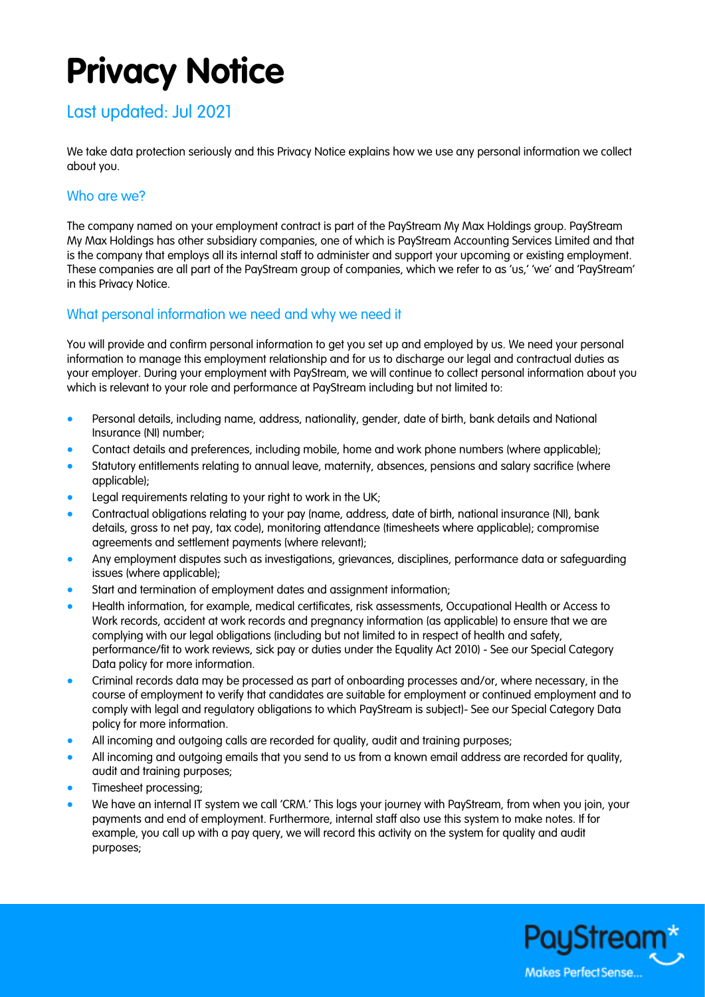# **Privacy Notice**

# Last updated: Jul 2021

We take data protection seriously and this Privacy Notice explains how we use any personal information we collect about you.

#### Who are we?

The company named on your employment contract is part of the PayStream My Max Holdings group. PayStream My Max Holdings has other subsidiary companies, one of which is PayStream Accounting Services Limited and that is the company that employs all its internal staff to administer and support your upcoming or existing employment. These companies are all part of the PayStream group of companies, which we refer to as 'us,' 'we' and 'PayStream' in this Privacy Notice.

### What personal information we need and why we need it

You will provide and confirm personal information to get you set up and employed by us. We need your personal information to manage this employment relationship and for us to discharge our legal and contractual duties as your employer. During your employment with PayStream, we will continue to collect personal information about you which is relevant to your role and performance at PayStream including but not limited to:

- Personal details, including name, address, nationality, gender, date of birth, bank details and National Insurance (NI) number;
- Contact details and preferences, including mobile, home and work phone numbers (where applicable);
- Statutory entitlements relating to annual leave, maternity, absences, pensions and salary sacrifice (where applicable);
- Legal requirements relating to your right to work in the UK;
- Contractual obligations relating to your pay (name, address, date of birth, national insurance (NI), bank details, gross to net pay, tax code), monitoring attendance (timesheets where applicable); compromise agreements and settlement payments (where relevant);
- Any employment disputes such as investigations, grievances, disciplines, performance data or safeguarding issues (where applicable);
- Start and termination of employment dates and assignment information;
- Health information, for example, medical certificates, risk assessments, Occupational Health or Access to Work records, accident at work records and pregnancy information (as applicable) to ensure that we are complying with our legal obligations (including but not limited to in respect of health and safety, performance/fit to work reviews, sick pay or duties under the Equality Act 2010) - See our Special Category Data policy for more information.
- Criminal records data may be processed as part of onboarding processes and/or, where necessary, in the course of employment to verify that candidates are suitable for employment or continued employment and to comply with legal and regulatory obligations to which PayStream is subject)- See our Special Category Data policy for more information.
- All incoming and outgoing calls are recorded for quality, audit and training purposes;
- All incoming and outgoing emails that you send to us from a known email address are recorded for quality, audit and training purposes;
- Timesheet processing;
- We have an internal IT system we call 'CRM.' This logs your journey with PayStream, from when you join, your payments and end of employment. Furthermore, internal staff also use this system to make notes. If for example, you call up with a pay query, we will record this activity on the system for quality and audit purposes;

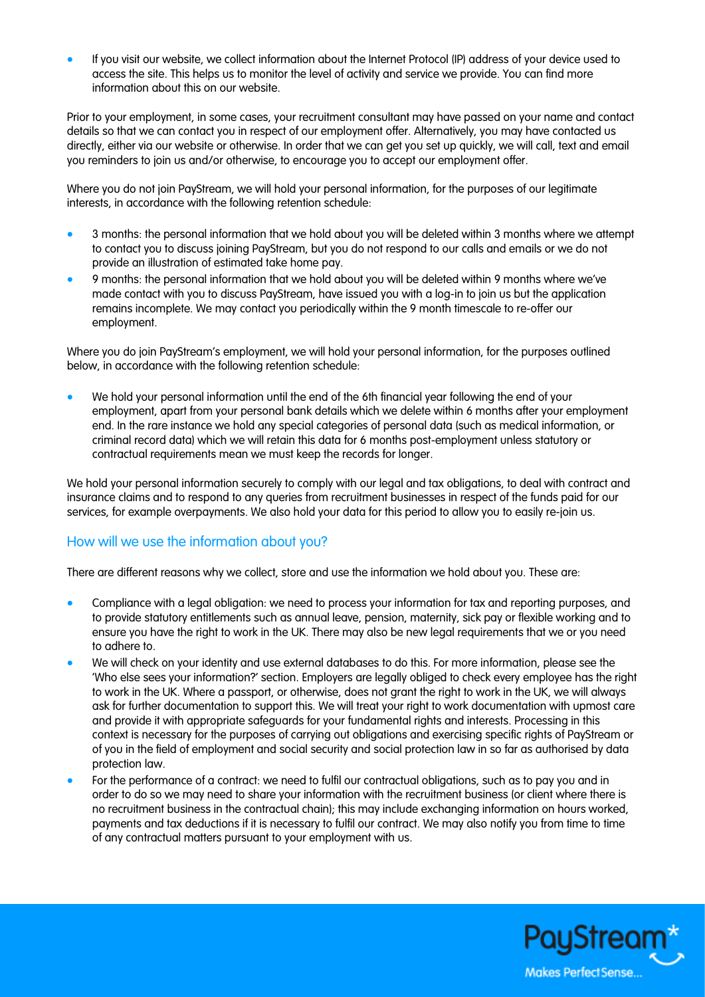• If you visit our website, we collect information about the Internet Protocol (IP) address of your device used to access the site. This helps us to monitor the level of activity and service we provide. You can find more information about this on our website.

Prior to your employment, in some cases, your recruitment consultant may have passed on your name and contact details so that we can contact you in respect of our employment offer. Alternatively, you may have contacted us directly, either via our website or otherwise. In order that we can get you set up quickly, we will call, text and email you reminders to join us and/or otherwise, to encourage you to accept our employment offer.

Where you do not join PayStream, we will hold your personal information, for the purposes of our legitimate interests, in accordance with the following retention schedule:

- 3 months: the personal information that we hold about you will be deleted within 3 months where we attempt to contact you to discuss joining PayStream, but you do not respond to our calls and emails or we do not provide an illustration of estimated take home pay.
- 9 months: the personal information that we hold about you will be deleted within 9 months where we've made contact with you to discuss PayStream, have issued you with a log-in to join us but the application remains incomplete. We may contact you periodically within the 9 month timescale to re-offer our employment.

Where you do join PayStream's employment, we will hold your personal information, for the purposes outlined below, in accordance with the following retention schedule:

• We hold your personal information until the end of the 6th financial year following the end of your employment, apart from your personal bank details which we delete within 6 months after your employment end. In the rare instance we hold any special categories of personal data (such as medical information, or criminal record data) which we will retain this data for 6 months post-employment unless statutory or contractual requirements mean we must keep the records for longer.

We hold your personal information securely to comply with our legal and tax obligations, to deal with contract and insurance claims and to respond to any queries from recruitment businesses in respect of the funds paid for our services, for example overpayments. We also hold your data for this period to allow you to easily re-join us.

#### How will we use the information about you?

There are different reasons why we collect, store and use the information we hold about you. These are:

- Compliance with a legal obligation: we need to process your information for tax and reporting purposes, and to provide statutory entitlements such as annual leave, pension, maternity, sick pay or flexible working and to ensure you have the right to work in the UK. There may also be new legal requirements that we or you need to adhere to.
- We will check on your identity and use external databases to do this. For more information, please see the 'Who else sees your information?' section. Employers are legally obliged to check every employee has the right to work in the UK. Where a passport, or otherwise, does not grant the right to work in the UK, we will always ask for further documentation to support this. We will treat your right to work documentation with upmost care and provide it with appropriate safeguards for your fundamental rights and interests. Processing in this context is necessary for the purposes of carrying out obligations and exercising specific rights of PayStream or of you in the field of employment and social security and social protection law in so far as authorised by data protection law.
- For the performance of a contract: we need to fulfil our contractual obligations, such as to pay you and in order to do so we may need to share your information with the recruitment business (or client where there is no recruitment business in the contractual chain); this may include exchanging information on hours worked, payments and tax deductions if it is necessary to fulfil our contract. We may also notify you from time to time of any contractual matters pursuant to your employment with us.

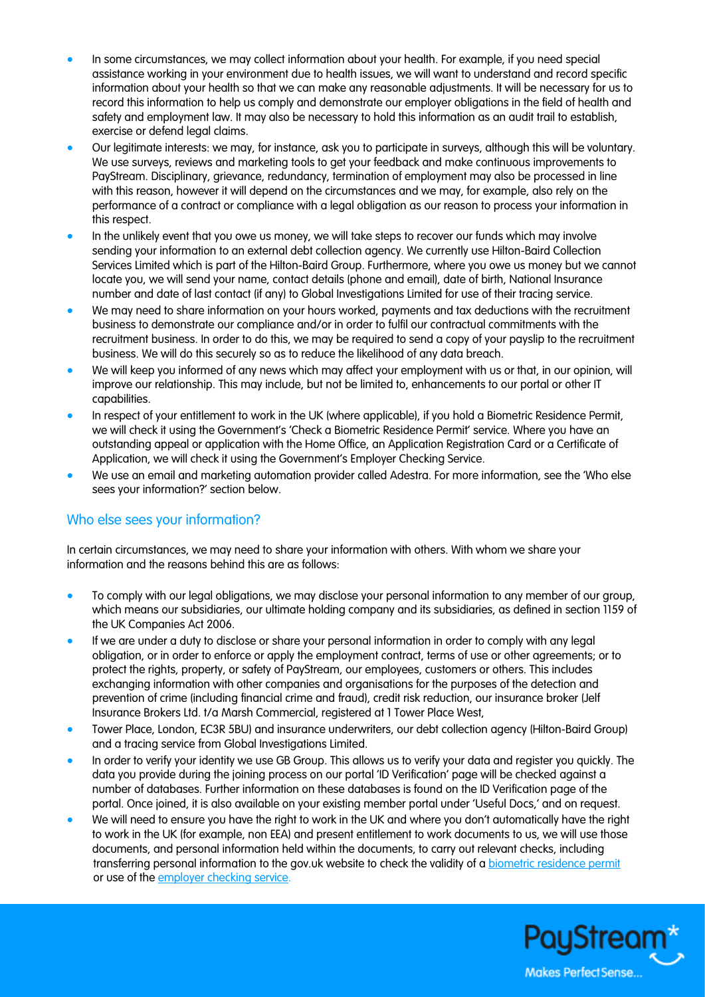- In some circumstances, we may collect information about your health. For example, if you need special assistance working in your environment due to health issues, we will want to understand and record specific information about your health so that we can make any reasonable adjustments. It will be necessary for us to record this information to help us comply and demonstrate our employer obligations in the field of health and safety and employment law. It may also be necessary to hold this information as an audit trail to establish, exercise or defend legal claims.
- Our legitimate interests: we may, for instance, ask you to participate in surveys, although this will be voluntary. We use surveys, reviews and marketing tools to get your feedback and make continuous improvements to PayStream. Disciplinary, grievance, redundancy, termination of employment may also be processed in line with this reason, however it will depend on the circumstances and we may, for example, also rely on the performance of a contract or compliance with a legal obligation as our reason to process your information in this respect.
- In the unlikely event that you owe us money, we will take steps to recover our funds which may involve sending your information to an external debt collection agency. We currently use Hilton-Baird Collection Services Limited which is part of the Hilton-Baird Group. Furthermore, where you owe us money but we cannot locate you, we will send your name, contact details (phone and email), date of birth, National Insurance number and date of last contact (if any) to Global Investigations Limited for use of their tracing service.
- We may need to share information on your hours worked, payments and tax deductions with the recruitment business to demonstrate our compliance and/or in order to fulfil our contractual commitments with the recruitment business. In order to do this, we may be required to send a copy of your payslip to the recruitment business. We will do this securely so as to reduce the likelihood of any data breach.
- We will keep you informed of any news which may affect your employment with us or that, in our opinion, will improve our relationship. This may include, but not be limited to, enhancements to our portal or other IT capabilities.
- In respect of your entitlement to work in the UK (where applicable), if you hold a Biometric Residence Permit, we will check it using the Government's 'Check a Biometric Residence Permit' service. Where you have an outstanding appeal or application with the Home Office, an Application Registration Card or a Certificate of Application, we will check it using the Government's Employer Checking Service.
- We use an email and marketing automation provider called Adestra. For more information, see the 'Who else sees your information?' section below.

#### Who else sees your information?

In certain circumstances, we may need to share your information with others. With whom we share your information and the reasons behind this are as follows:

- To comply with our legal obligations, we may disclose your personal information to any member of our group, which means our subsidiaries, our ultimate holding company and its subsidiaries, as defined in section 1159 of the UK Companies Act 2006.
- If we are under a duty to disclose or share your personal information in order to comply with any legal obligation, or in order to enforce or apply the employment contract, terms of use or other agreements; or to protect the rights, property, or safety of PayStream, our employees, customers or others. This includes exchanging information with other companies and organisations for the purposes of the detection and prevention of crime (including financial crime and fraud), credit risk reduction, our insurance broker (Jelf Insurance Brokers Ltd. t/a Marsh Commercial, registered at 1 Tower Place West,
- Tower Place, London, EC3R 5BU) and insurance underwriters, our debt collection agency (Hilton-Baird Group) and a tracing service from Global Investigations Limited.
- In order to verify your identity we use GB Group. This allows us to verify your data and register you quickly. The data you provide during the joining process on our portal 'ID Verification' page will be checked against a number of databases. Further information on these databases is found on the ID Verification page of the portal. Once joined, it is also available on your existing member portal under 'Useful Docs,' and on request.
- We will need to ensure you have the right to work in the UK and where you don't automatically have the right to work in the UK (for example, non EEA) and present entitlement to work documents to us, we will use those documents, and personal information held within the documents, to carry out relevant checks, including transferring personal information to the gov.uk website to check the validity of [a biometric residence permit](https://www.gov.uk/check-biometric-residence-permit) or use of the [employer checking service.](https://www.gov.uk/employee-immigration-employment-status)

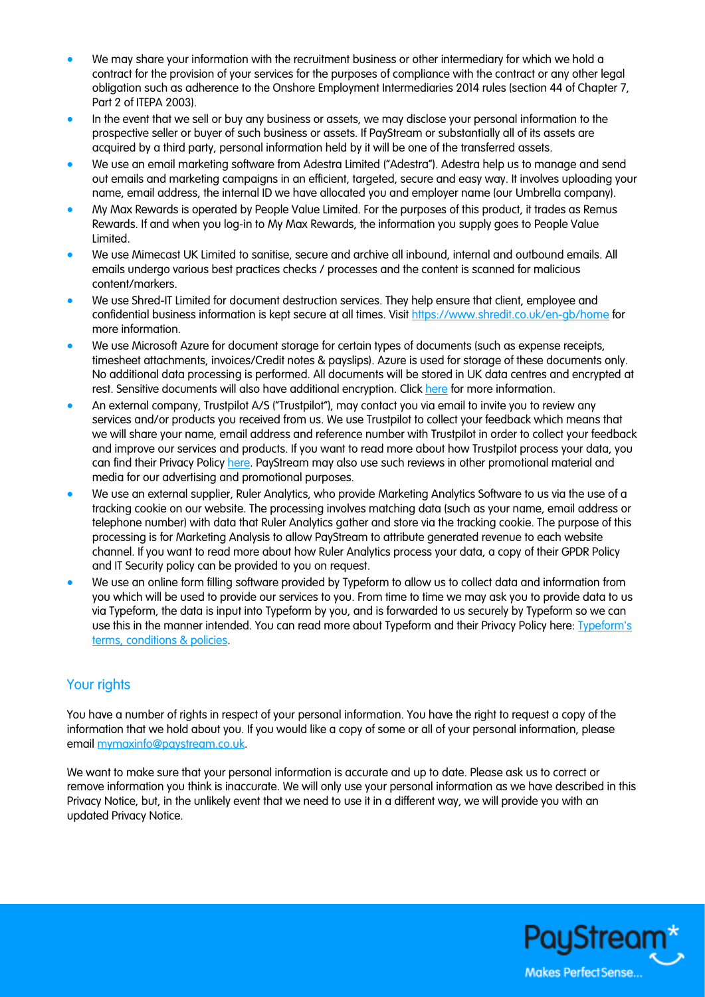- We may share your information with the recruitment business or other intermediary for which we hold a contract for the provision of your services for the purposes of compliance with the contract or any other legal obligation such as adherence to the Onshore Employment Intermediaries 2014 rules (section 44 of Chapter 7, Part 2 of ITEPA 2003).
- In the event that we sell or buy any business or assets, we may disclose your personal information to the prospective seller or buyer of such business or assets. If PayStream or substantially all of its assets are acquired by a third party, personal information held by it will be one of the transferred assets.
- We use an email marketing software from Adestra Limited ("Adestra"). Adestra help us to manage and send out emails and marketing campaigns in an efficient, targeted, secure and easy way. It involves uploading your name, email address, the internal ID we have allocated you and employer name (our Umbrella company).
- My Max Rewards is operated by People Value Limited. For the purposes of this product, it trades as Remus Rewards. If and when you log-in to My Max Rewards, the information you supply goes to People Value Limited.
- We use Mimecast UK Limited to sanitise, secure and archive all inbound, internal and outbound emails. All emails undergo various best practices checks / processes and the content is scanned for malicious content/markers.
- We use Shred-IT Limited for document destruction services. They help ensure that client, employee and confidential business information is kept secure at all times. Visit<https://www.shredit.co.uk/en-gb/home> for more information.
- We use Microsoft Azure for document storage for certain types of documents (such as expense receipts, timesheet attachments, invoices/Credit notes & payslips). Azure is used for storage of these documents only. No additional data processing is performed. All documents will be stored in UK data centres and encrypted at rest. Sensitive documents will also have additional encryption. Click [here](https://www.microsoft.com/en-gb/trust-center/privacy) for more information.
- An external company, Trustpilot A/S ("Trustpilot"), may contact you via email to invite you to review any services and/or products you received from us. We use Trustpilot to collect your feedback which means that we will share your name, email address and reference number with Trustpilot in order to collect your feedback and improve our services and products. If you want to read more about how Trustpilot process your data, you can find their Privacy Policy [here.](https://uk.legal.trustpilot.com/for-reviewers/end-user-privacy-terms) PayStream may also use such reviews in other promotional material and media for our advertising and promotional purposes.
- We use an external supplier, Ruler Analytics, who provide Marketing Analytics Software to us via the use of a tracking cookie on our website. The processing involves matching data (such as your name, email address or telephone number) with data that Ruler Analytics gather and store via the tracking cookie. The purpose of this processing is for Marketing Analysis to allow PayStream to attribute generated revenue to each website channel. If you want to read more about how Ruler Analytics process your data, a copy of their GPDR Policy and IT Security policy can be provided to you on request.
- We use an online form filling software provided by Typeform to allow us to collect data and information from you which will be used to provide our services to you. From time to time we may ask you to provide data to us via Typeform, the data is input into Typeform by you, and is forwarded to us securely by Typeform so we can use this in the manner intended. You can read more about Typeform and their Privacy Policy here: Typeform's [terms, conditions & policies.](https://admin.typeform.com/to/dwk6gt/)

## Your rights

You have a number of rights in respect of your personal information. You have the right to request a copy of the information that we hold about you. If you would like a copy of some or all of your personal information, please email [mymaxinfo@paystream.co.uk.](mailto:mymaxinfo@paystream.co.uk)

We want to make sure that your personal information is accurate and up to date. Please ask us to correct or remove information you think is inaccurate. We will only use your personal information as we have described in this Privacy Notice, but, in the unlikely event that we need to use it in a different way, we will provide you with an updated Privacy Notice.